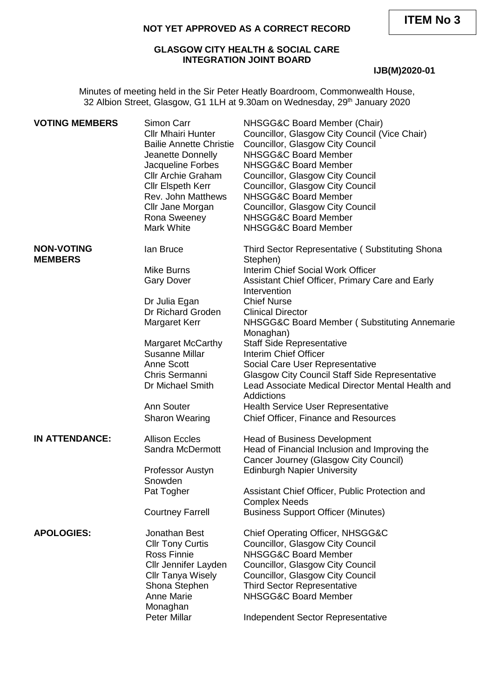**ITEM No 3**

#### **NOT YET APPROVED AS A CORRECT RECORD**

# **GLASGOW CITY HEALTH & SOCIAL CARE INTEGRATION JOINT BOARD**

# **IJB(M)2020-01**

Minutes of meeting held in the Sir Peter Heatly Boardroom, Commonwealth House, 32 Albion Street, Glasgow, G1 1LH at 9.30am on Wednesday, 29<sup>th</sup> January 2020

| <b>VOTING MEMBERS</b>               | Simon Carr<br><b>CIIr Mhairi Hunter</b><br><b>Bailie Annette Christie</b><br>Jeanette Donnelly<br>Jacqueline Forbes<br><b>Cllr Archie Graham</b><br><b>Cllr Elspeth Kerr</b><br>Rev. John Matthews<br>Cllr Jane Morgan<br>Rona Sweeney<br>Mark White | NHSGG&C Board Member (Chair)<br>Councillor, Glasgow City Council (Vice Chair)<br>Councillor, Glasgow City Council<br>NHSGG&C Board Member<br>NHSGG&C Board Member<br>Councillor, Glasgow City Council<br>Councillor, Glasgow City Council<br>NHSGG&C Board Member<br>Councillor, Glasgow City Council<br><b>NHSGG&amp;C Board Member</b><br><b>NHSGG&amp;C Board Member</b> |
|-------------------------------------|------------------------------------------------------------------------------------------------------------------------------------------------------------------------------------------------------------------------------------------------------|-----------------------------------------------------------------------------------------------------------------------------------------------------------------------------------------------------------------------------------------------------------------------------------------------------------------------------------------------------------------------------|
| <b>NON-VOTING</b><br><b>MEMBERS</b> | lan Bruce                                                                                                                                                                                                                                            | Third Sector Representative (Substituting Shona<br>Stephen)                                                                                                                                                                                                                                                                                                                 |
|                                     | Mike Burns<br><b>Gary Dover</b>                                                                                                                                                                                                                      | Interim Chief Social Work Officer<br>Assistant Chief Officer, Primary Care and Early<br>Intervention                                                                                                                                                                                                                                                                        |
|                                     | Dr Julia Egan                                                                                                                                                                                                                                        | <b>Chief Nurse</b>                                                                                                                                                                                                                                                                                                                                                          |
|                                     | Dr Richard Groden                                                                                                                                                                                                                                    | <b>Clinical Director</b>                                                                                                                                                                                                                                                                                                                                                    |
|                                     | Margaret Kerr                                                                                                                                                                                                                                        | NHSGG&C Board Member (Substituting Annemarie<br>Monaghan)                                                                                                                                                                                                                                                                                                                   |
|                                     | Margaret McCarthy                                                                                                                                                                                                                                    | <b>Staff Side Representative</b>                                                                                                                                                                                                                                                                                                                                            |
|                                     | Susanne Millar                                                                                                                                                                                                                                       | Interim Chief Officer                                                                                                                                                                                                                                                                                                                                                       |
|                                     | Anne Scott                                                                                                                                                                                                                                           | Social Care User Representative                                                                                                                                                                                                                                                                                                                                             |
|                                     | Chris Sermanni<br>Dr Michael Smith                                                                                                                                                                                                                   | <b>Glasgow City Council Staff Side Representative</b><br>Lead Associate Medical Director Mental Health and<br>Addictions                                                                                                                                                                                                                                                    |
|                                     | Ann Souter                                                                                                                                                                                                                                           | <b>Health Service User Representative</b>                                                                                                                                                                                                                                                                                                                                   |
|                                     | <b>Sharon Wearing</b>                                                                                                                                                                                                                                | Chief Officer, Finance and Resources                                                                                                                                                                                                                                                                                                                                        |
| <b>IN ATTENDANCE:</b>               | <b>Allison Eccles</b>                                                                                                                                                                                                                                | <b>Head of Business Development</b>                                                                                                                                                                                                                                                                                                                                         |
|                                     | Sandra McDermott                                                                                                                                                                                                                                     | Head of Financial Inclusion and Improving the                                                                                                                                                                                                                                                                                                                               |
|                                     |                                                                                                                                                                                                                                                      | Cancer Journey (Glasgow City Council)                                                                                                                                                                                                                                                                                                                                       |
|                                     | Professor Austyn<br>Snowden                                                                                                                                                                                                                          | <b>Edinburgh Napier University</b>                                                                                                                                                                                                                                                                                                                                          |
|                                     | Pat Togher                                                                                                                                                                                                                                           | Assistant Chief Officer, Public Protection and                                                                                                                                                                                                                                                                                                                              |
|                                     |                                                                                                                                                                                                                                                      | <b>Complex Needs</b>                                                                                                                                                                                                                                                                                                                                                        |
|                                     | <b>Courtney Farrell</b>                                                                                                                                                                                                                              | <b>Business Support Officer (Minutes)</b>                                                                                                                                                                                                                                                                                                                                   |
| <b>APOLOGIES:</b>                   | Jonathan Best                                                                                                                                                                                                                                        | Chief Operating Officer, NHSGG&C                                                                                                                                                                                                                                                                                                                                            |
|                                     | <b>Cllr Tony Curtis</b>                                                                                                                                                                                                                              | Councillor, Glasgow City Council                                                                                                                                                                                                                                                                                                                                            |
|                                     | Ross Finnie                                                                                                                                                                                                                                          | <b>NHSGG&amp;C Board Member</b>                                                                                                                                                                                                                                                                                                                                             |
|                                     | Cllr Jennifer Layden                                                                                                                                                                                                                                 | Councillor, Glasgow City Council                                                                                                                                                                                                                                                                                                                                            |
|                                     | <b>Cllr Tanya Wisely</b>                                                                                                                                                                                                                             | Councillor, Glasgow City Council                                                                                                                                                                                                                                                                                                                                            |
|                                     | Shona Stephen                                                                                                                                                                                                                                        | <b>Third Sector Representative</b>                                                                                                                                                                                                                                                                                                                                          |
|                                     | <b>Anne Marie</b>                                                                                                                                                                                                                                    | <b>NHSGG&amp;C Board Member</b>                                                                                                                                                                                                                                                                                                                                             |
|                                     | Monaghan                                                                                                                                                                                                                                             |                                                                                                                                                                                                                                                                                                                                                                             |
|                                     | <b>Peter Millar</b>                                                                                                                                                                                                                                  | Independent Sector Representative                                                                                                                                                                                                                                                                                                                                           |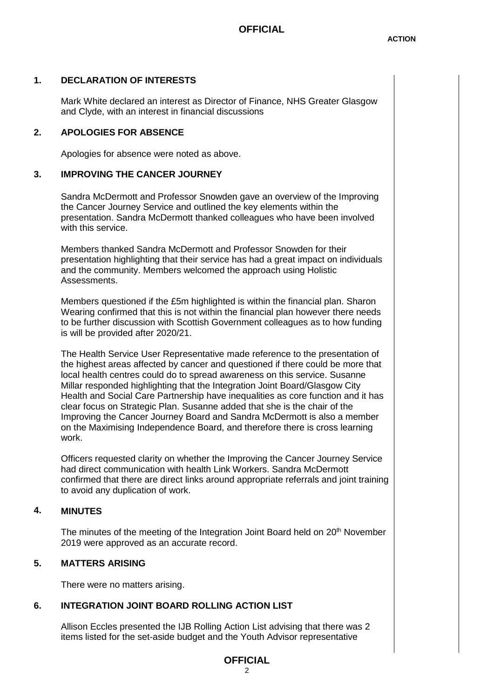# **1. DECLARATION OF INTERESTS**

Mark White declared an interest as Director of Finance, NHS Greater Glasgow and Clyde, with an interest in financial discussions

# **2. APOLOGIES FOR ABSENCE**

Apologies for absence were noted as above.

# **3. IMPROVING THE CANCER JOURNEY**

Sandra McDermott and Professor Snowden gave an overview of the Improving the Cancer Journey Service and outlined the key elements within the presentation. Sandra McDermott thanked colleagues who have been involved with this service.

Members thanked Sandra McDermott and Professor Snowden for their presentation highlighting that their service has had a great impact on individuals and the community. Members welcomed the approach using Holistic **Assessments** 

Members questioned if the £5m highlighted is within the financial plan. Sharon Wearing confirmed that this is not within the financial plan however there needs to be further discussion with Scottish Government colleagues as to how funding is will be provided after 2020/21.

The Health Service User Representative made reference to the presentation of the highest areas affected by cancer and questioned if there could be more that local health centres could do to spread awareness on this service. Susanne Millar responded highlighting that the Integration Joint Board/Glasgow City Health and Social Care Partnership have inequalities as core function and it has clear focus on Strategic Plan. Susanne added that she is the chair of the Improving the Cancer Journey Board and Sandra McDermott is also a member on the Maximising Independence Board, and therefore there is cross learning work.

Officers requested clarity on whether the Improving the Cancer Journey Service had direct communication with health Link Workers. Sandra McDermott confirmed that there are direct links around appropriate referrals and joint training to avoid any duplication of work.

#### **4. MINUTES**

The minutes of the meeting of the Integration Joint Board held on 20<sup>th</sup> November 2019 were approved as an accurate record.

# **5. MATTERS ARISING**

There were no matters arising.

# **6. INTEGRATION JOINT BOARD ROLLING ACTION LIST**

Allison Eccles presented the IJB Rolling Action List advising that there was 2 items listed for the set-aside budget and the Youth Advisor representative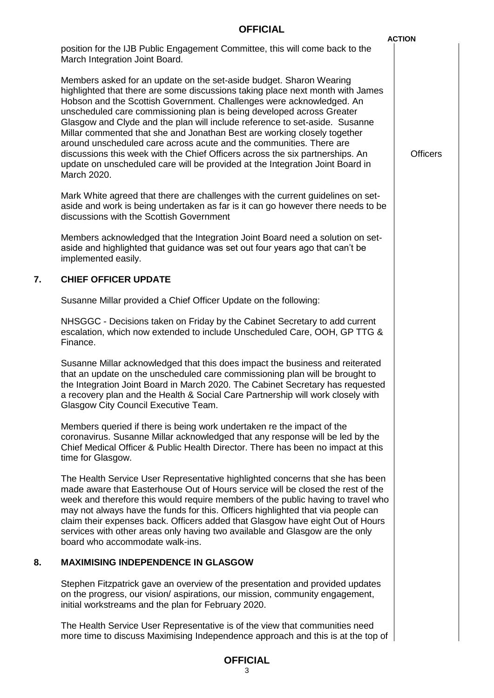|    |                                                                                                                                                                                                                                                                                                                                                                                                                                                                                                                                                                                                                                                                                                                           | <b>ACTION</b>   |
|----|---------------------------------------------------------------------------------------------------------------------------------------------------------------------------------------------------------------------------------------------------------------------------------------------------------------------------------------------------------------------------------------------------------------------------------------------------------------------------------------------------------------------------------------------------------------------------------------------------------------------------------------------------------------------------------------------------------------------------|-----------------|
|    | position for the IJB Public Engagement Committee, this will come back to the<br>March Integration Joint Board.                                                                                                                                                                                                                                                                                                                                                                                                                                                                                                                                                                                                            |                 |
|    | Members asked for an update on the set-aside budget. Sharon Wearing<br>highlighted that there are some discussions taking place next month with James<br>Hobson and the Scottish Government. Challenges were acknowledged. An<br>unscheduled care commissioning plan is being developed across Greater<br>Glasgow and Clyde and the plan will include reference to set-aside. Susanne<br>Millar commented that she and Jonathan Best are working closely together<br>around unscheduled care across acute and the communities. There are<br>discussions this week with the Chief Officers across the six partnerships. An<br>update on unscheduled care will be provided at the Integration Joint Board in<br>March 2020. | <b>Officers</b> |
|    | Mark White agreed that there are challenges with the current guidelines on set-<br>aside and work is being undertaken as far is it can go however there needs to be<br>discussions with the Scottish Government                                                                                                                                                                                                                                                                                                                                                                                                                                                                                                           |                 |
|    | Members acknowledged that the Integration Joint Board need a solution on set-<br>aside and highlighted that guidance was set out four years ago that can't be<br>implemented easily.                                                                                                                                                                                                                                                                                                                                                                                                                                                                                                                                      |                 |
| 7. | <b>CHIEF OFFICER UPDATE</b>                                                                                                                                                                                                                                                                                                                                                                                                                                                                                                                                                                                                                                                                                               |                 |
|    | Susanne Millar provided a Chief Officer Update on the following:                                                                                                                                                                                                                                                                                                                                                                                                                                                                                                                                                                                                                                                          |                 |
|    | NHSGGC - Decisions taken on Friday by the Cabinet Secretary to add current<br>escalation, which now extended to include Unscheduled Care, OOH, GP TTG &<br>Finance.                                                                                                                                                                                                                                                                                                                                                                                                                                                                                                                                                       |                 |
|    | Susanne Millar acknowledged that this does impact the business and reiterated<br>that an update on the unscheduled care commissioning plan will be brought to<br>the Integration Joint Board in March 2020. The Cabinet Secretary has requested<br>a recovery plan and the Health & Social Care Partnership will work closely with<br>Glasgow City Council Executive Team.                                                                                                                                                                                                                                                                                                                                                |                 |
|    | Members queried if there is being work undertaken re the impact of the<br>coronavirus. Susanne Millar acknowledged that any response will be led by the<br>Chief Medical Officer & Public Health Director. There has been no impact at this<br>time for Glasgow.                                                                                                                                                                                                                                                                                                                                                                                                                                                          |                 |
|    | The Health Service User Representative highlighted concerns that she has been<br>made aware that Easterhouse Out of Hours service will be closed the rest of the<br>week and therefore this would require members of the public having to travel who<br>may not always have the funds for this. Officers highlighted that via people can<br>claim their expenses back. Officers added that Glasgow have eight Out of Hours<br>services with other areas only having two available and Glasgow are the only<br>board who accommodate walk-ins.                                                                                                                                                                             |                 |
| 8. | <b>MAXIMISING INDEPENDENCE IN GLASGOW</b>                                                                                                                                                                                                                                                                                                                                                                                                                                                                                                                                                                                                                                                                                 |                 |
|    | Stephen Fitzpatrick gave an overview of the presentation and provided updates<br>on the progress, our vision/ aspirations, our mission, community engagement,<br>initial workstreams and the plan for February 2020.                                                                                                                                                                                                                                                                                                                                                                                                                                                                                                      |                 |
|    | The Health Service User Representative is of the view that communities need<br>more time to discuss Maximising Independence approach and this is at the top of                                                                                                                                                                                                                                                                                                                                                                                                                                                                                                                                                            |                 |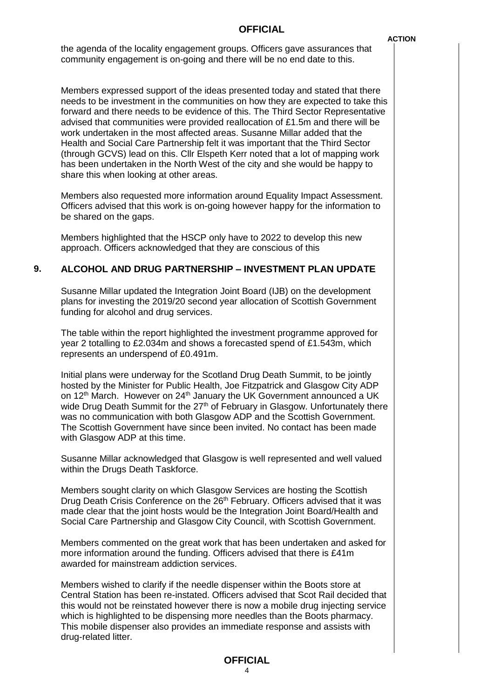the agenda of the locality engagement groups. Officers gave assurances that community engagement is on-going and there will be no end date to this.

Members expressed support of the ideas presented today and stated that there needs to be investment in the communities on how they are expected to take this forward and there needs to be evidence of this. The Third Sector Representative advised that communities were provided reallocation of £1.5m and there will be work undertaken in the most affected areas. Susanne Millar added that the Health and Social Care Partnership felt it was important that the Third Sector (through GCVS) lead on this. Cllr Elspeth Kerr noted that a lot of mapping work has been undertaken in the North West of the city and she would be happy to share this when looking at other areas.

Members also requested more information around Equality Impact Assessment. Officers advised that this work is on-going however happy for the information to be shared on the gaps.

Members highlighted that the HSCP only have to 2022 to develop this new approach. Officers acknowledged that they are conscious of this

# **9. ALCOHOL AND DRUG PARTNERSHIP – INVESTMENT PLAN UPDATE**

Susanne Millar updated the Integration Joint Board (IJB) on the development plans for investing the 2019/20 second year allocation of Scottish Government funding for alcohol and drug services.

The table within the report highlighted the investment programme approved for year 2 totalling to £2.034m and shows a forecasted spend of £1.543m, which represents an underspend of £0.491m.

Initial plans were underway for the Scotland Drug Death Summit, to be jointly hosted by the Minister for Public Health, Joe Fitzpatrick and Glasgow City ADP on 12<sup>th</sup> March. However on 24<sup>th</sup> January the UK Government announced a UK wide Drug Death Summit for the  $27<sup>th</sup>$  of February in Glasgow. Unfortunately there was no communication with both Glasgow ADP and the Scottish Government. The Scottish Government have since been invited. No contact has been made with Glasgow ADP at this time.

Susanne Millar acknowledged that Glasgow is well represented and well valued within the Drugs Death Taskforce.

Members sought clarity on which Glasgow Services are hosting the Scottish Drug Death Crisis Conference on the 26<sup>th</sup> February. Officers advised that it was made clear that the joint hosts would be the Integration Joint Board/Health and Social Care Partnership and Glasgow City Council, with Scottish Government.

Members commented on the great work that has been undertaken and asked for more information around the funding. Officers advised that there is £41m awarded for mainstream addiction services.

Members wished to clarify if the needle dispenser within the Boots store at Central Station has been re-instated. Officers advised that Scot Rail decided that this would not be reinstated however there is now a mobile drug injecting service which is highlighted to be dispensing more needles than the Boots pharmacy. This mobile dispenser also provides an immediate response and assists with drug-related litter.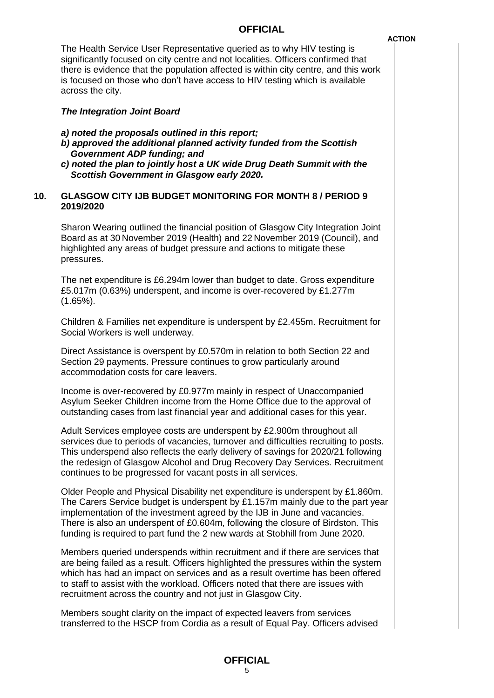*ACTION* 

The Health Service User Representative queried as to why HIV testing is significantly focused on city centre and not localities. Officers confirmed that there is evidence that the population affected is within city centre, and this work is focused on those who don't have access to HIV testing which is available across the city.

### *The Integration Joint Board*

- *a) noted the proposals outlined in this report;*
- *b) approved the additional planned activity funded from the Scottish Government ADP funding; and*
- *c) noted the plan to jointly host a UK wide Drug Death Summit with the Scottish Government in Glasgow early 2020.*

### **10. GLASGOW CITY IJB BUDGET MONITORING FOR MONTH 8 / PERIOD 9 2019/2020**

Sharon Wearing outlined the financial position of Glasgow City Integration Joint Board as at 30 November 2019 (Health) and 22 November 2019 (Council), and highlighted any areas of budget pressure and actions to mitigate these pressures.

The net expenditure is £6.294m lower than budget to date. Gross expenditure £5.017m (0.63%) underspent, and income is over-recovered by £1.277m (1.65%).

Children & Families net expenditure is underspent by £2.455m. Recruitment for Social Workers is well underway.

Direct Assistance is overspent by £0.570m in relation to both Section 22 and Section 29 payments. Pressure continues to grow particularly around accommodation costs for care leavers.

Income is over-recovered by £0.977m mainly in respect of Unaccompanied Asylum Seeker Children income from the Home Office due to the approval of outstanding cases from last financial year and additional cases for this year.

Adult Services employee costs are underspent by £2.900m throughout all services due to periods of vacancies, turnover and difficulties recruiting to posts. This underspend also reflects the early delivery of savings for 2020/21 following the redesign of Glasgow Alcohol and Drug Recovery Day Services. Recruitment continues to be progressed for vacant posts in all services.

Older People and Physical Disability net expenditure is underspent by £1.860m. The Carers Service budget is underspent by £1.157m mainly due to the part year implementation of the investment agreed by the IJB in June and vacancies. There is also an underspent of £0.604m, following the closure of Birdston. This funding is required to part fund the 2 new wards at Stobhill from June 2020.

Members queried underspends within recruitment and if there are services that are being failed as a result. Officers highlighted the pressures within the system which has had an impact on services and as a result overtime has been offered to staff to assist with the workload. Officers noted that there are issues with recruitment across the country and not just in Glasgow City.

Members sought clarity on the impact of expected leavers from services transferred to the HSCP from Cordia as a result of Equal Pay. Officers advised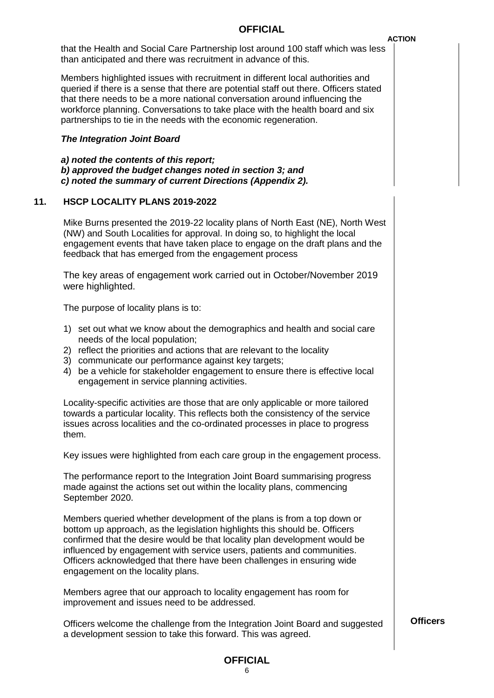that the Health and Social Care Partnership lost around 100 staff which was less than anticipated and there was recruitment in advance of this.

Members highlighted issues with recruitment in different local authorities and queried if there is a sense that there are potential staff out there. Officers stated that there needs to be a more national conversation around influencing the workforce planning. Conversations to take place with the health board and six partnerships to tie in the needs with the economic regeneration.

### *The Integration Joint Board*

*a) noted the contents of this report; b) approved the budget changes noted in section 3; and c) noted the summary of current Directions (Appendix 2).*

#### **11. HSCP LOCALITY PLANS 2019-2022**

Mike Burns presented the 2019-22 locality plans of North East (NE), North West (NW) and South Localities for approval. In doing so, to highlight the local engagement events that have taken place to engage on the draft plans and the feedback that has emerged from the engagement process

The key areas of engagement work carried out in October/November 2019 were highlighted.

The purpose of locality plans is to:

- 1) set out what we know about the demographics and health and social care needs of the local population;
- 2) reflect the priorities and actions that are relevant to the locality
- 3) communicate our performance against key targets;
- 4) be a vehicle for stakeholder engagement to ensure there is effective local engagement in service planning activities.

Locality-specific activities are those that are only applicable or more tailored towards a particular locality. This reflects both the consistency of the service issues across localities and the co-ordinated processes in place to progress them.

Key issues were highlighted from each care group in the engagement process.

The performance report to the Integration Joint Board summarising progress made against the actions set out within the locality plans, commencing September 2020.

Members queried whether development of the plans is from a top down or bottom up approach, as the legislation highlights this should be. Officers confirmed that the desire would be that locality plan development would be influenced by engagement with service users, patients and communities. Officers acknowledged that there have been challenges in ensuring wide engagement on the locality plans.

Members agree that our approach to locality engagement has room for improvement and issues need to be addressed.

Officers welcome the challenge from the Integration Joint Board and suggested a development session to take this forward. This was agreed.

**Officers**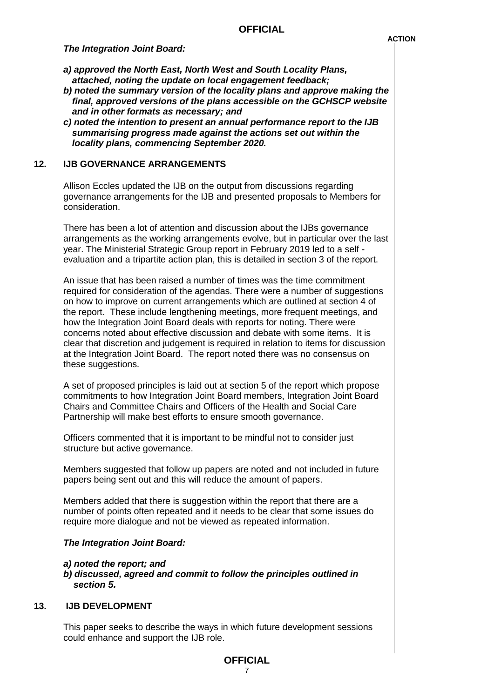*The Integration Joint Board:* 

- *a) approved the North East, North West and South Locality Plans, attached, noting the update on local engagement feedback;*
- *b) noted the summary version of the locality plans and approve making the final, approved versions of the plans accessible on the GCHSCP website and in other formats as necessary; and*
- *c) noted the intention to present an annual performance report to the IJB summarising progress made against the actions set out within the locality plans, commencing September 2020.*

#### **12. IJB GOVERNANCE ARRANGEMENTS**

Allison Eccles updated the IJB on the output from discussions regarding governance arrangements for the IJB and presented proposals to Members for consideration.

There has been a lot of attention and discussion about the IJBs governance arrangements as the working arrangements evolve, but in particular over the last year. The Ministerial Strategic Group report in February 2019 led to a self evaluation and a tripartite action plan, this is detailed in section 3 of the report.

An issue that has been raised a number of times was the time commitment required for consideration of the agendas. There were a number of suggestions on how to improve on current arrangements which are outlined at section 4 of the report. These include lengthening meetings, more frequent meetings, and how the Integration Joint Board deals with reports for noting. There were concerns noted about effective discussion and debate with some items. It is clear that discretion and judgement is required in relation to items for discussion at the Integration Joint Board. The report noted there was no consensus on these suggestions.

A set of proposed principles is laid out at section 5 of the report which propose commitments to how Integration Joint Board members, Integration Joint Board Chairs and Committee Chairs and Officers of the Health and Social Care Partnership will make best efforts to ensure smooth governance.

Officers commented that it is important to be mindful not to consider just structure but active governance.

Members suggested that follow up papers are noted and not included in future papers being sent out and this will reduce the amount of papers.

Members added that there is suggestion within the report that there are a number of points often repeated and it needs to be clear that some issues do require more dialogue and not be viewed as repeated information.

#### *The Integration Joint Board:*

#### *a) noted the report; and*

*b) discussed, agreed and commit to follow the principles outlined in section 5.* 

## **13. IJB DEVELOPMENT**

This paper seeks to describe the ways in which future development sessions could enhance and support the IJB role.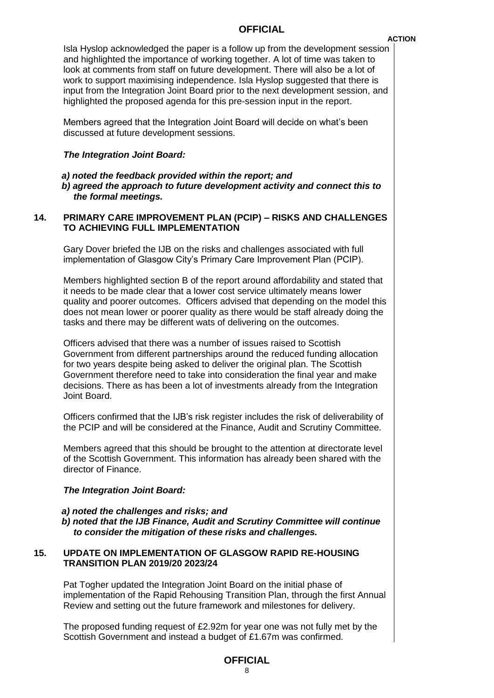Isla Hyslop acknowledged the paper is a follow up from the development session and highlighted the importance of working together. A lot of time was taken to look at comments from staff on future development. There will also be a lot of work to support maximising independence. Isla Hyslop suggested that there is input from the Integration Joint Board prior to the next development session, and highlighted the proposed agenda for this pre-session input in the report.

Members agreed that the Integration Joint Board will decide on what's been discussed at future development sessions.

#### *The Integration Joint Board:*

#### *a) noted the feedback provided within the report; and b) agreed the approach to future development activity and connect this to the formal meetings.*

### **14. PRIMARY CARE IMPROVEMENT PLAN (PCIP) – RISKS AND CHALLENGES TO ACHIEVING FULL IMPLEMENTATION**

Gary Dover briefed the IJB on the risks and challenges associated with full implementation of Glasgow City's Primary Care Improvement Plan (PCIP).

Members highlighted section B of the report around affordability and stated that it needs to be made clear that a lower cost service ultimately means lower quality and poorer outcomes. Officers advised that depending on the model this does not mean lower or poorer quality as there would be staff already doing the tasks and there may be different wats of delivering on the outcomes.

Officers advised that there was a number of issues raised to Scottish Government from different partnerships around the reduced funding allocation for two years despite being asked to deliver the original plan. The Scottish Government therefore need to take into consideration the final year and make decisions. There as has been a lot of investments already from the Integration Joint Board.

Officers confirmed that the IJB's risk register includes the risk of deliverability of the PCIP and will be considered at the Finance, Audit and Scrutiny Committee.

Members agreed that this should be brought to the attention at directorate level of the Scottish Government. This information has already been shared with the director of Finance.

#### *The Integration Joint Board:*

- *a) noted the challenges and risks; and*
- *b) noted that the IJB Finance, Audit and Scrutiny Committee will continue to consider the mitigation of these risks and challenges.*

# **15. UPDATE ON IMPLEMENTATION OF GLASGOW RAPID RE-HOUSING TRANSITION PLAN 2019/20 2023/24**

Pat Togher updated the Integration Joint Board on the initial phase of implementation of the Rapid Rehousing Transition Plan, through the first Annual Review and setting out the future framework and milestones for delivery.

The proposed funding request of £2.92m for year one was not fully met by the Scottish Government and instead a budget of £1.67m was confirmed.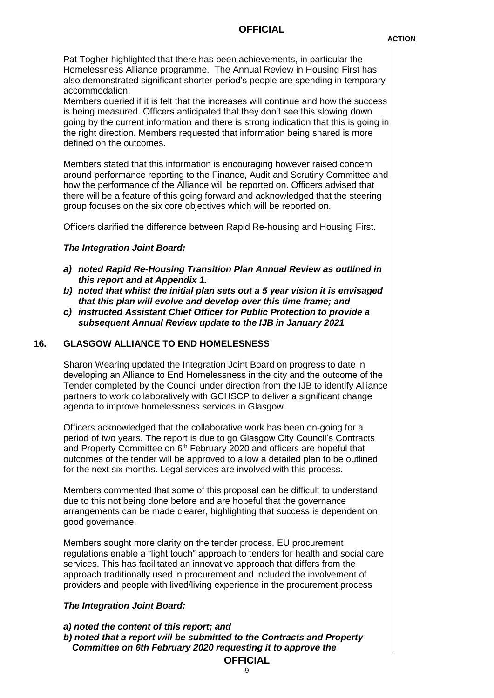Pat Togher highlighted that there has been achievements, in particular the Homelessness Alliance programme. The Annual Review in Housing First has also demonstrated significant shorter period's people are spending in temporary accommodation.

Members queried if it is felt that the increases will continue and how the success is being measured. Officers anticipated that they don't see this slowing down going by the current information and there is strong indication that this is going in the right direction. Members requested that information being shared is more defined on the outcomes.

Members stated that this information is encouraging however raised concern around performance reporting to the Finance, Audit and Scrutiny Committee and how the performance of the Alliance will be reported on. Officers advised that there will be a feature of this going forward and acknowledged that the steering group focuses on the six core objectives which will be reported on.

Officers clarified the difference between Rapid Re-housing and Housing First.

#### *The Integration Joint Board:*

- *a) noted Rapid Re-Housing Transition Plan Annual Review as outlined in this report and at Appendix 1.*
- *b) noted that whilst the initial plan sets out a 5 year vision it is envisaged that this plan will evolve and develop over this time frame; and*
- *c) instructed Assistant Chief Officer for Public Protection to provide a subsequent Annual Review update to the IJB in January 2021*

## **16. GLASGOW ALLIANCE TO END HOMELESNESS**

Sharon Wearing updated the Integration Joint Board on progress to date in developing an Alliance to End Homelessness in the city and the outcome of the Tender completed by the Council under direction from the IJB to identify Alliance partners to work collaboratively with GCHSCP to deliver a significant change agenda to improve homelessness services in Glasgow.

Officers acknowledged that the collaborative work has been on-going for a period of two years. The report is due to go Glasgow City Council's Contracts and Property Committee on 6<sup>th</sup> February 2020 and officers are hopeful that outcomes of the tender will be approved to allow a detailed plan to be outlined for the next six months. Legal services are involved with this process.

Members commented that some of this proposal can be difficult to understand due to this not being done before and are hopeful that the governance arrangements can be made clearer, highlighting that success is dependent on good governance.

Members sought more clarity on the tender process. EU procurement regulations enable a "light touch" approach to tenders for health and social care services. This has facilitated an innovative approach that differs from the approach traditionally used in procurement and included the involvement of providers and people with lived/living experience in the procurement process

#### *The Integration Joint Board:*

#### *a) noted the content of this report; and*

*b) noted that a report will be submitted to the Contracts and Property Committee on 6th February 2020 requesting it to approve the*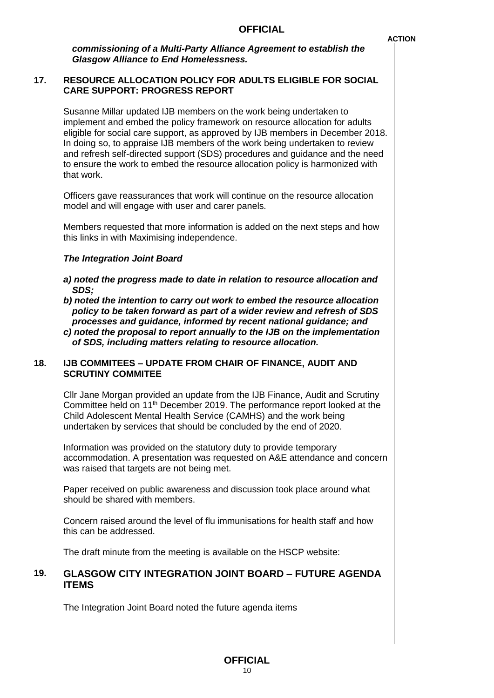*commissioning of a Multi-Party Alliance Agreement to establish the Glasgow Alliance to End Homelessness.*

## **17. RESOURCE ALLOCATION POLICY FOR ADULTS ELIGIBLE FOR SOCIAL CARE SUPPORT: PROGRESS REPORT**

Susanne Millar updated IJB members on the work being undertaken to implement and embed the policy framework on resource allocation for adults eligible for social care support, as approved by IJB members in December 2018. In doing so, to appraise IJB members of the work being undertaken to review and refresh self-directed support (SDS) procedures and guidance and the need to ensure the work to embed the resource allocation policy is harmonized with that work.

Officers gave reassurances that work will continue on the resource allocation model and will engage with user and carer panels.

Members requested that more information is added on the next steps and how this links in with Maximising independence.

#### *The Integration Joint Board*

- *a) noted the progress made to date in relation to resource allocation and SDS;*
- *b) noted the intention to carry out work to embed the resource allocation policy to be taken forward as part of a wider review and refresh of SDS processes and guidance, informed by recent national guidance; and*
- *c) noted the proposal to report annually to the IJB on the implementation of SDS, including matters relating to resource allocation.*

#### **18. IJB COMMITEES – UPDATE FROM CHAIR OF FINANCE, AUDIT AND SCRUTINY COMMITEE**

Cllr Jane Morgan provided an update from the IJB Finance, Audit and Scrutiny Committee held on  $11<sup>th</sup>$  December 2019. The performance report looked at the Child Adolescent Mental Health Service (CAMHS) and the work being undertaken by services that should be concluded by the end of 2020.

Information was provided on the statutory duty to provide temporary accommodation. A presentation was requested on A&E attendance and concern was raised that targets are not being met.

Paper received on public awareness and discussion took place around what should be shared with members.

Concern raised around the level of flu immunisations for health staff and how this can be addressed.

The draft minute from the meeting is available on the HSCP website:

# **19. GLASGOW CITY INTEGRATION JOINT BOARD – FUTURE AGENDA ITEMS**

The Integration Joint Board noted the future agenda items